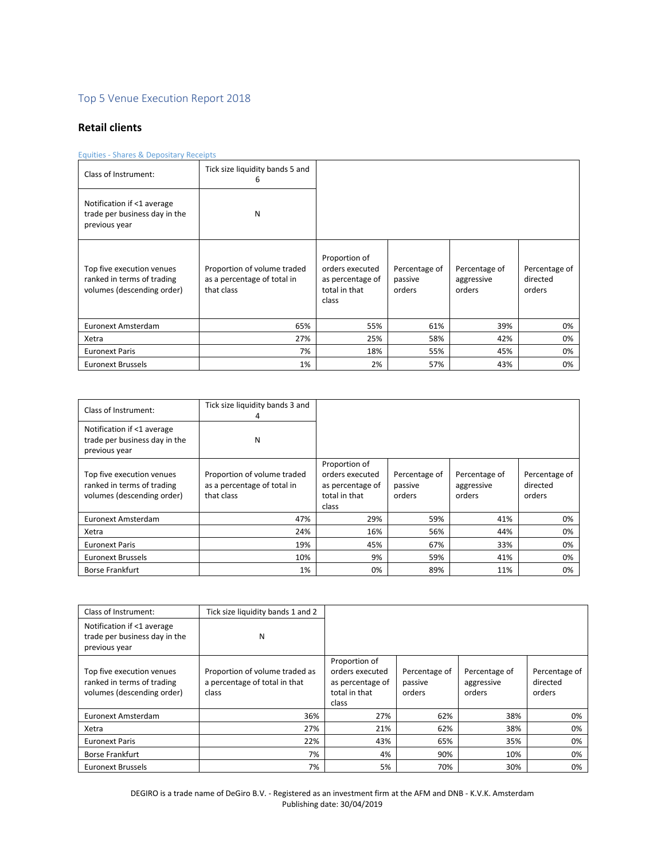# Top 5 Venue Execution Report 2018

# **Retail clients**

# Equities - Shares & Depositary Receipts

| Class of Instrument:                                                                  | Tick size liquidity bands 5 and<br>6                                     |                                                                                |                                    |                                       |                                     |
|---------------------------------------------------------------------------------------|--------------------------------------------------------------------------|--------------------------------------------------------------------------------|------------------------------------|---------------------------------------|-------------------------------------|
| Notification if <1 average<br>trade per business day in the<br>previous year          | N                                                                        |                                                                                |                                    |                                       |                                     |
| Top five execution venues<br>ranked in terms of trading<br>volumes (descending order) | Proportion of volume traded<br>as a percentage of total in<br>that class | Proportion of<br>orders executed<br>as percentage of<br>total in that<br>class | Percentage of<br>passive<br>orders | Percentage of<br>aggressive<br>orders | Percentage of<br>directed<br>orders |
| Euronext Amsterdam                                                                    | 65%                                                                      | 55%                                                                            | 61%                                | 39%                                   | 0%                                  |
| Xetra                                                                                 | 27%                                                                      | 25%                                                                            | 58%                                | 42%                                   | 0%                                  |
| <b>Euronext Paris</b>                                                                 | 7%                                                                       | 18%                                                                            | 55%                                | 45%                                   | 0%                                  |
| <b>Euronext Brussels</b>                                                              | 1%                                                                       | 2%                                                                             | 57%                                | 43%                                   | 0%                                  |

| Class of Instrument:                                                                  | Tick size liquidity bands 3 and<br>4                                     |                                                                                |                                    |                                       |                                     |
|---------------------------------------------------------------------------------------|--------------------------------------------------------------------------|--------------------------------------------------------------------------------|------------------------------------|---------------------------------------|-------------------------------------|
| Notification if <1 average<br>trade per business day in the<br>previous year          | N                                                                        |                                                                                |                                    |                                       |                                     |
| Top five execution venues<br>ranked in terms of trading<br>volumes (descending order) | Proportion of volume traded<br>as a percentage of total in<br>that class | Proportion of<br>orders executed<br>as percentage of<br>total in that<br>class | Percentage of<br>passive<br>orders | Percentage of<br>aggressive<br>orders | Percentage of<br>directed<br>orders |
| Euronext Amsterdam                                                                    | 47%                                                                      | 29%                                                                            | 59%                                | 41%                                   | 0%                                  |
| Xetra                                                                                 | 24%                                                                      | 16%                                                                            | 56%                                | 44%                                   | 0%                                  |
| <b>Euronext Paris</b>                                                                 | 19%                                                                      | 45%                                                                            | 67%                                | 33%                                   | 0%                                  |
| <b>Euronext Brussels</b>                                                              | 10%                                                                      | 9%                                                                             | 59%                                | 41%                                   | 0%                                  |
| <b>Borse Frankfurt</b>                                                                | 1%                                                                       | 0%                                                                             | 89%                                | 11%                                   | 0%                                  |

| Class of Instrument:                                                                  | Tick size liquidity bands 1 and 2                                        |                                                                                |                                    |                                       |                                     |
|---------------------------------------------------------------------------------------|--------------------------------------------------------------------------|--------------------------------------------------------------------------------|------------------------------------|---------------------------------------|-------------------------------------|
| Notification if <1 average<br>trade per business day in the<br>previous year          | N                                                                        |                                                                                |                                    |                                       |                                     |
| Top five execution venues<br>ranked in terms of trading<br>volumes (descending order) | Proportion of volume traded as<br>a percentage of total in that<br>class | Proportion of<br>orders executed<br>as percentage of<br>total in that<br>class | Percentage of<br>passive<br>orders | Percentage of<br>aggressive<br>orders | Percentage of<br>directed<br>orders |
| Euronext Amsterdam                                                                    | 36%                                                                      | 27%                                                                            | 62%                                | 38%                                   | 0%                                  |
| Xetra                                                                                 | 27%                                                                      | 21%                                                                            | 62%                                | 38%                                   | 0%                                  |
| <b>Euronext Paris</b>                                                                 | 22%                                                                      | 43%                                                                            | 65%                                | 35%                                   | 0%                                  |
| <b>Borse Frankfurt</b>                                                                | 7%                                                                       | 4%                                                                             | 90%                                | 10%                                   | 0%                                  |
| <b>Euronext Brussels</b>                                                              | 7%                                                                       | 5%                                                                             | 70%                                | 30%                                   | 0%                                  |

DEGIRO is a trade name of DeGiro B.V. - Registered as an investment firm at the AFM and DNB - K.V.K. Amsterdam Publishing date: 30/04/2019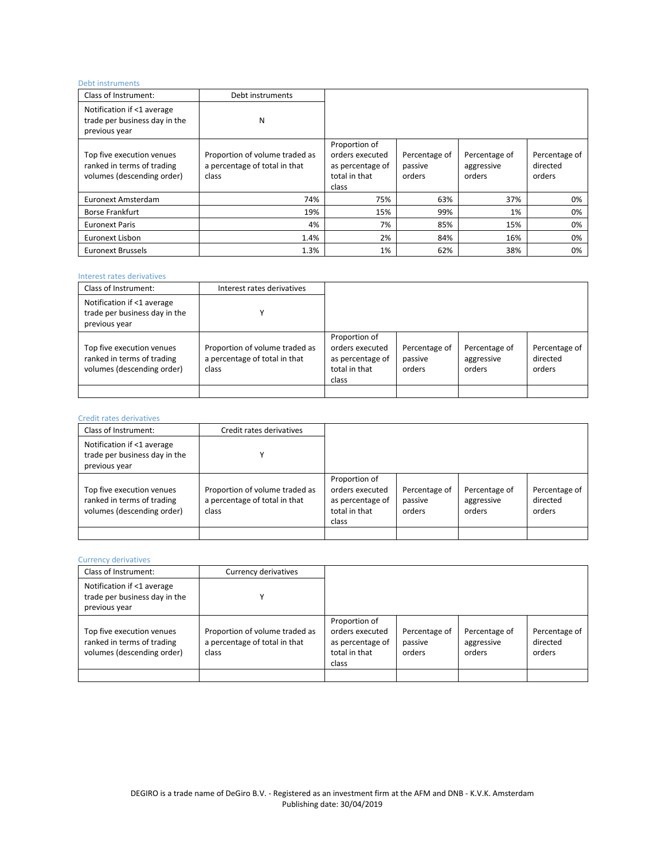## Debt instruments

| Class of Instrument:                                                                  | Debt instruments                                                         |                                                                                |                                    |                                       |                                     |
|---------------------------------------------------------------------------------------|--------------------------------------------------------------------------|--------------------------------------------------------------------------------|------------------------------------|---------------------------------------|-------------------------------------|
| Notification if <1 average<br>trade per business day in the<br>previous year          | N                                                                        |                                                                                |                                    |                                       |                                     |
| Top five execution venues<br>ranked in terms of trading<br>volumes (descending order) | Proportion of volume traded as<br>a percentage of total in that<br>class | Proportion of<br>orders executed<br>as percentage of<br>total in that<br>class | Percentage of<br>passive<br>orders | Percentage of<br>aggressive<br>orders | Percentage of<br>directed<br>orders |
| Euronext Amsterdam                                                                    | 74%                                                                      | 75%                                                                            | 63%                                | 37%                                   | 0%                                  |
| <b>Borse Frankfurt</b>                                                                | 19%                                                                      | 15%                                                                            | 99%                                | 1%                                    | 0%                                  |
| <b>Euronext Paris</b>                                                                 | 4%                                                                       | 7%                                                                             | 85%                                | 15%                                   | 0%                                  |
| Euronext Lisbon                                                                       | 1.4%                                                                     | 2%                                                                             | 84%                                | 16%                                   | 0%                                  |
| <b>Euronext Brussels</b>                                                              | 1.3%                                                                     | 1%                                                                             | 62%                                | 38%                                   | 0%                                  |

# Interest rates derivatives

| Class of Instrument:                                                                  | Interest rates derivatives                                               |                                                                                |                                    |                                       |                                     |
|---------------------------------------------------------------------------------------|--------------------------------------------------------------------------|--------------------------------------------------------------------------------|------------------------------------|---------------------------------------|-------------------------------------|
| Notification if <1 average<br>trade per business day in the<br>previous year          |                                                                          |                                                                                |                                    |                                       |                                     |
| Top five execution venues<br>ranked in terms of trading<br>volumes (descending order) | Proportion of volume traded as<br>a percentage of total in that<br>class | Proportion of<br>orders executed<br>as percentage of<br>total in that<br>class | Percentage of<br>passive<br>orders | Percentage of<br>aggressive<br>orders | Percentage of<br>directed<br>orders |
|                                                                                       |                                                                          |                                                                                |                                    |                                       |                                     |

# Credit rates derivatives

| Class of Instrument:                                                                  | Credit rates derivatives                                                 |                                                                                |                                    |                                       |                                     |
|---------------------------------------------------------------------------------------|--------------------------------------------------------------------------|--------------------------------------------------------------------------------|------------------------------------|---------------------------------------|-------------------------------------|
| Notification if <1 average<br>trade per business day in the<br>previous year          |                                                                          |                                                                                |                                    |                                       |                                     |
| Top five execution venues<br>ranked in terms of trading<br>volumes (descending order) | Proportion of volume traded as<br>a percentage of total in that<br>class | Proportion of<br>orders executed<br>as percentage of<br>total in that<br>class | Percentage of<br>passive<br>orders | Percentage of<br>aggressive<br>orders | Percentage of<br>directed<br>orders |
|                                                                                       |                                                                          |                                                                                |                                    |                                       |                                     |

### Currency derivatives

| Class of Instrument:                                                                  | Currency derivatives                                                     |                                                                                |                                    |                                       |                                     |
|---------------------------------------------------------------------------------------|--------------------------------------------------------------------------|--------------------------------------------------------------------------------|------------------------------------|---------------------------------------|-------------------------------------|
| Notification if <1 average<br>trade per business day in the<br>previous year          |                                                                          |                                                                                |                                    |                                       |                                     |
| Top five execution venues<br>ranked in terms of trading<br>volumes (descending order) | Proportion of volume traded as<br>a percentage of total in that<br>class | Proportion of<br>orders executed<br>as percentage of<br>total in that<br>class | Percentage of<br>passive<br>orders | Percentage of<br>aggressive<br>orders | Percentage of<br>directed<br>orders |
|                                                                                       |                                                                          |                                                                                |                                    |                                       |                                     |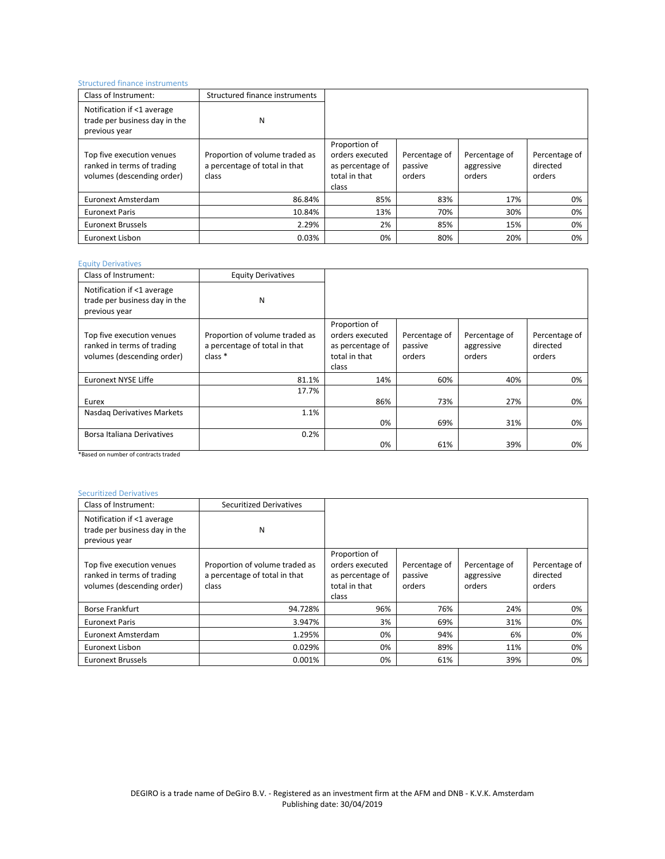### Structured finance instruments

| Class of Instrument:                                                                  | Structured finance instruments                                           |                                                                                |                                    |                                       |                                     |
|---------------------------------------------------------------------------------------|--------------------------------------------------------------------------|--------------------------------------------------------------------------------|------------------------------------|---------------------------------------|-------------------------------------|
| Notification if <1 average<br>trade per business day in the<br>previous year          | N                                                                        |                                                                                |                                    |                                       |                                     |
| Top five execution venues<br>ranked in terms of trading<br>volumes (descending order) | Proportion of volume traded as<br>a percentage of total in that<br>class | Proportion of<br>orders executed<br>as percentage of<br>total in that<br>class | Percentage of<br>passive<br>orders | Percentage of<br>aggressive<br>orders | Percentage of<br>directed<br>orders |
| Euronext Amsterdam                                                                    | 86.84%                                                                   | 85%                                                                            | 83%                                | 17%                                   | 0%                                  |
| <b>Euronext Paris</b>                                                                 | 10.84%                                                                   | 13%                                                                            | 70%                                | 30%                                   | 0%                                  |
| <b>Euronext Brussels</b>                                                              | 2.29%                                                                    | 2%                                                                             | 85%                                | 15%                                   | 0%                                  |
| Euronext Lisbon                                                                       | 0.03%                                                                    | 0%                                                                             | 80%                                | 20%                                   | 0%                                  |

### Equity Derivatives

| Class of Instrument:                                                                  | <b>Equity Derivatives</b>                                                             |                                                                                |                                    |                                       |                                     |
|---------------------------------------------------------------------------------------|---------------------------------------------------------------------------------------|--------------------------------------------------------------------------------|------------------------------------|---------------------------------------|-------------------------------------|
| Notification if <1 average<br>trade per business day in the<br>previous year          | N                                                                                     |                                                                                |                                    |                                       |                                     |
| Top five execution venues<br>ranked in terms of trading<br>volumes (descending order) | Proportion of volume traded as<br>a percentage of total in that<br>class <sup>*</sup> | Proportion of<br>orders executed<br>as percentage of<br>total in that<br>class | Percentage of<br>passive<br>orders | Percentage of<br>aggressive<br>orders | Percentage of<br>directed<br>orders |
| <b>Euronext NYSE Liffe</b>                                                            | 81.1%                                                                                 | 14%                                                                            | 60%                                | 40%                                   | 0%                                  |
| Eurex                                                                                 | 17.7%                                                                                 | 86%                                                                            | 73%                                | 27%                                   | 0%                                  |
| Nasdag Derivatives Markets                                                            | 1.1%                                                                                  | 0%                                                                             | 69%                                | 31%                                   | 0%                                  |
| Borsa Italiana Derivatives                                                            | 0.2%                                                                                  | 0%                                                                             | 61%                                | 39%                                   | 0%                                  |

\*Based on number of contracts traded

# Securitized Derivatives

| Class of Instrument:                                                                  | <b>Securitized Derivatives</b>                                           |                                                                                |                                    |                                       |                                     |
|---------------------------------------------------------------------------------------|--------------------------------------------------------------------------|--------------------------------------------------------------------------------|------------------------------------|---------------------------------------|-------------------------------------|
| Notification if <1 average<br>trade per business day in the<br>previous year          | N                                                                        |                                                                                |                                    |                                       |                                     |
| Top five execution venues<br>ranked in terms of trading<br>volumes (descending order) | Proportion of volume traded as<br>a percentage of total in that<br>class | Proportion of<br>orders executed<br>as percentage of<br>total in that<br>class | Percentage of<br>passive<br>orders | Percentage of<br>aggressive<br>orders | Percentage of<br>directed<br>orders |
| <b>Borse Frankfurt</b>                                                                | 94.728%                                                                  | 96%                                                                            | 76%                                | 24%                                   | 0%                                  |
| <b>Euronext Paris</b>                                                                 | 3.947%                                                                   | 3%                                                                             | 69%                                | 31%                                   | 0%                                  |
| Euronext Amsterdam                                                                    | 1.295%                                                                   | 0%                                                                             | 94%                                | 6%                                    | 0%                                  |
| Euronext Lisbon                                                                       | 0.029%                                                                   | 0%                                                                             | 89%                                | 11%                                   | 0%                                  |
| <b>Euronext Brussels</b>                                                              | 0.001%                                                                   | 0%                                                                             | 61%                                | 39%                                   | 0%                                  |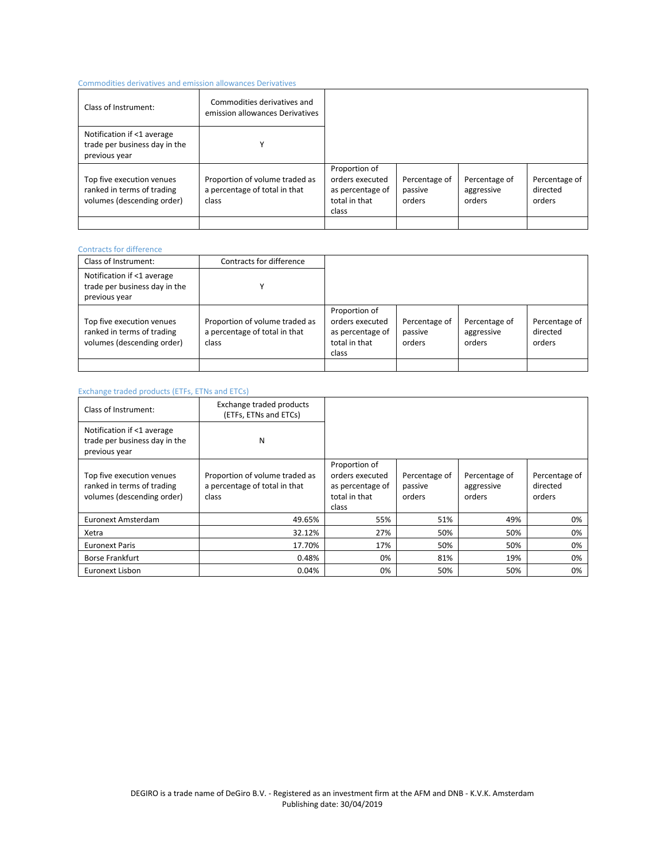## Commodities derivatives and emission allowances Derivatives

| Class of Instrument:                                                                  | Commodities derivatives and<br>emission allowances Derivatives           |                                                                                |                                    |                                       |                                     |
|---------------------------------------------------------------------------------------|--------------------------------------------------------------------------|--------------------------------------------------------------------------------|------------------------------------|---------------------------------------|-------------------------------------|
| Notification if <1 average<br>trade per business day in the<br>previous year          |                                                                          |                                                                                |                                    |                                       |                                     |
| Top five execution venues<br>ranked in terms of trading<br>volumes (descending order) | Proportion of volume traded as<br>a percentage of total in that<br>class | Proportion of<br>orders executed<br>as percentage of<br>total in that<br>class | Percentage of<br>passive<br>orders | Percentage of<br>aggressive<br>orders | Percentage of<br>directed<br>orders |
|                                                                                       |                                                                          |                                                                                |                                    |                                       |                                     |

### Contracts for difference

| Class of Instrument:                                                                  | Contracts for difference                                                 |                                                                                |                                    |                                       |                                     |
|---------------------------------------------------------------------------------------|--------------------------------------------------------------------------|--------------------------------------------------------------------------------|------------------------------------|---------------------------------------|-------------------------------------|
| Notification if <1 average<br>trade per business day in the<br>previous year          |                                                                          |                                                                                |                                    |                                       |                                     |
| Top five execution venues<br>ranked in terms of trading<br>volumes (descending order) | Proportion of volume traded as<br>a percentage of total in that<br>class | Proportion of<br>orders executed<br>as percentage of<br>total in that<br>class | Percentage of<br>passive<br>orders | Percentage of<br>aggressive<br>orders | Percentage of<br>directed<br>orders |
|                                                                                       |                                                                          |                                                                                |                                    |                                       |                                     |

#### Exchange traded products (ETFs, ETNs and ETCs)

| Class of Instrument:                                                                  | Exchange traded products<br>(ETFs, ETNs and ETCs)                        |                                                                                |                                    |                                       |                                     |
|---------------------------------------------------------------------------------------|--------------------------------------------------------------------------|--------------------------------------------------------------------------------|------------------------------------|---------------------------------------|-------------------------------------|
| Notification if <1 average<br>trade per business day in the<br>previous year          | N                                                                        |                                                                                |                                    |                                       |                                     |
| Top five execution venues<br>ranked in terms of trading<br>volumes (descending order) | Proportion of volume traded as<br>a percentage of total in that<br>class | Proportion of<br>orders executed<br>as percentage of<br>total in that<br>class | Percentage of<br>passive<br>orders | Percentage of<br>aggressive<br>orders | Percentage of<br>directed<br>orders |
| Euronext Amsterdam                                                                    | 49.65%                                                                   | 55%                                                                            | 51%                                | 49%                                   | 0%                                  |
| Xetra                                                                                 | 32.12%                                                                   | 27%                                                                            | 50%                                | 50%                                   | 0%                                  |
| <b>Euronext Paris</b>                                                                 | 17.70%                                                                   | 17%                                                                            | 50%                                | 50%                                   | 0%                                  |
| <b>Borse Frankfurt</b>                                                                | 0.48%                                                                    | 0%                                                                             | 81%                                | 19%                                   | 0%                                  |
| Euronext Lisbon                                                                       | 0.04%                                                                    | 0%                                                                             | 50%                                | 50%                                   | 0%                                  |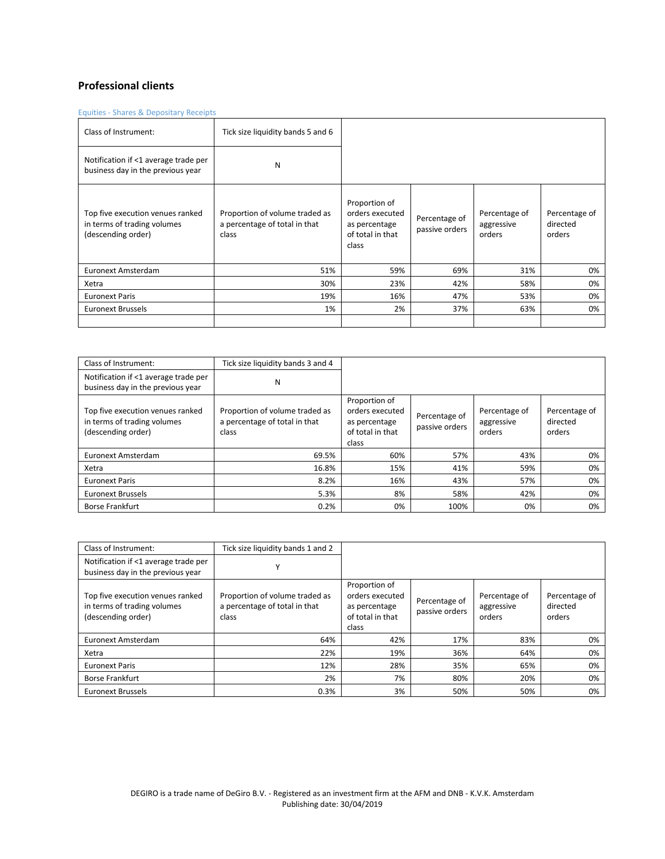# **Professional clients**

Equities - Shares & Depositary Receipts

| Class of Instrument:                                                                  | Tick size liquidity bands 5 and 6                                        |                                                                                |                                 |                                       |                                     |
|---------------------------------------------------------------------------------------|--------------------------------------------------------------------------|--------------------------------------------------------------------------------|---------------------------------|---------------------------------------|-------------------------------------|
| Notification if <1 average trade per<br>business day in the previous year             | N                                                                        |                                                                                |                                 |                                       |                                     |
| Top five execution venues ranked<br>in terms of trading volumes<br>(descending order) | Proportion of volume traded as<br>a percentage of total in that<br>class | Proportion of<br>orders executed<br>as percentage<br>of total in that<br>class | Percentage of<br>passive orders | Percentage of<br>aggressive<br>orders | Percentage of<br>directed<br>orders |
| Euronext Amsterdam                                                                    | 51%                                                                      | 59%                                                                            | 69%                             | 31%                                   | 0%                                  |
| Xetra                                                                                 | 30%                                                                      | 23%                                                                            | 42%                             | 58%                                   | 0%                                  |
| <b>Euronext Paris</b>                                                                 | 19%                                                                      | 16%                                                                            | 47%                             | 53%                                   | 0%                                  |
| <b>Euronext Brussels</b>                                                              | 1%                                                                       | 2%                                                                             | 37%                             | 63%                                   | 0%                                  |
|                                                                                       |                                                                          |                                                                                |                                 |                                       |                                     |

| Class of Instrument:                                                                  | Tick size liquidity bands 3 and 4                                        |                                                                                |                                 |                                       |                                     |
|---------------------------------------------------------------------------------------|--------------------------------------------------------------------------|--------------------------------------------------------------------------------|---------------------------------|---------------------------------------|-------------------------------------|
| Notification if <1 average trade per<br>business day in the previous year             | N                                                                        |                                                                                |                                 |                                       |                                     |
| Top five execution venues ranked<br>in terms of trading volumes<br>(descending order) | Proportion of volume traded as<br>a percentage of total in that<br>class | Proportion of<br>orders executed<br>as percentage<br>of total in that<br>class | Percentage of<br>passive orders | Percentage of<br>aggressive<br>orders | Percentage of<br>directed<br>orders |
| Euronext Amsterdam                                                                    | 69.5%                                                                    | 60%                                                                            | 57%                             | 43%                                   | 0%                                  |
| Xetra                                                                                 | 16.8%                                                                    | 15%                                                                            | 41%                             | 59%                                   | 0%                                  |
| <b>Euronext Paris</b>                                                                 | 8.2%                                                                     | 16%                                                                            | 43%                             | 57%                                   | 0%                                  |
| <b>Euronext Brussels</b>                                                              | 5.3%                                                                     | 8%                                                                             | 58%                             | 42%                                   | 0%                                  |
| <b>Borse Frankfurt</b>                                                                | 0.2%                                                                     | 0%                                                                             | 100%                            | 0%                                    | 0%                                  |

| Class of Instrument:                                                                  | Tick size liquidity bands 1 and 2                                        |                                                                                |                                 |                                       |                                     |
|---------------------------------------------------------------------------------------|--------------------------------------------------------------------------|--------------------------------------------------------------------------------|---------------------------------|---------------------------------------|-------------------------------------|
| Notification if <1 average trade per<br>business day in the previous year             |                                                                          |                                                                                |                                 |                                       |                                     |
| Top five execution venues ranked<br>in terms of trading volumes<br>(descending order) | Proportion of volume traded as<br>a percentage of total in that<br>class | Proportion of<br>orders executed<br>as percentage<br>of total in that<br>class | Percentage of<br>passive orders | Percentage of<br>aggressive<br>orders | Percentage of<br>directed<br>orders |
| Euronext Amsterdam                                                                    | 64%                                                                      | 42%                                                                            | 17%                             | 83%                                   | 0%                                  |
| Xetra                                                                                 | 22%                                                                      | 19%                                                                            | 36%                             | 64%                                   | 0%                                  |
| <b>Euronext Paris</b>                                                                 | 12%                                                                      | 28%                                                                            | 35%                             | 65%                                   | 0%                                  |
| <b>Borse Frankfurt</b>                                                                | 2%                                                                       | 7%                                                                             | 80%                             | 20%                                   | 0%                                  |
| <b>Euronext Brussels</b>                                                              | 0.3%                                                                     | 3%                                                                             | 50%                             | 50%                                   | 0%                                  |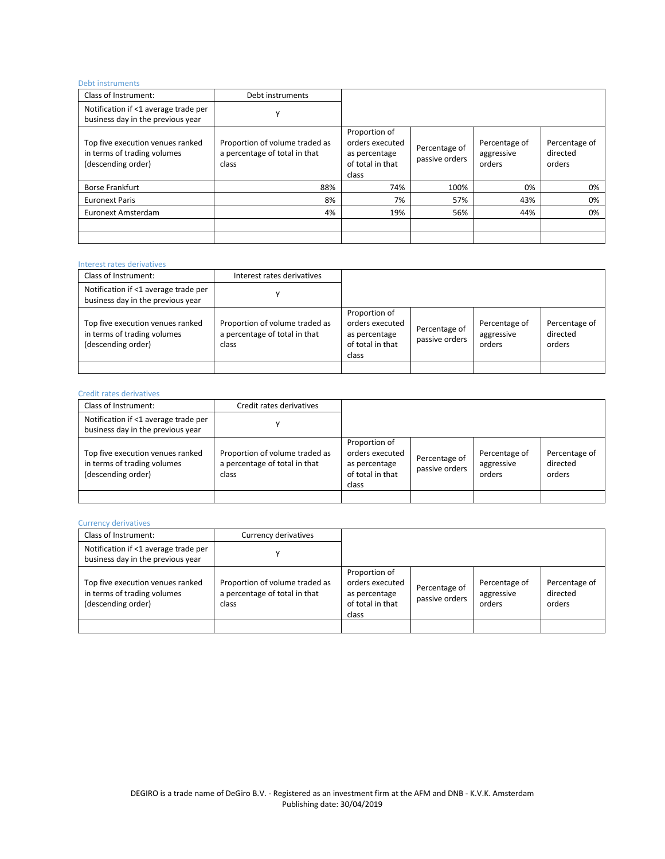# Debt instruments

| Class of Instrument:                                                                  | Debt instruments                                                         |                                                                                |                                 |                                       |                                     |
|---------------------------------------------------------------------------------------|--------------------------------------------------------------------------|--------------------------------------------------------------------------------|---------------------------------|---------------------------------------|-------------------------------------|
| Notification if <1 average trade per<br>business day in the previous year             | $\checkmark$                                                             |                                                                                |                                 |                                       |                                     |
| Top five execution venues ranked<br>in terms of trading volumes<br>(descending order) | Proportion of volume traded as<br>a percentage of total in that<br>class | Proportion of<br>orders executed<br>as percentage<br>of total in that<br>class | Percentage of<br>passive orders | Percentage of<br>aggressive<br>orders | Percentage of<br>directed<br>orders |
| <b>Borse Frankfurt</b>                                                                | 88%                                                                      | 74%                                                                            | 100%                            | 0%                                    | 0%                                  |
| <b>Euronext Paris</b>                                                                 | 8%                                                                       | 7%                                                                             | 57%                             | 43%                                   | 0%                                  |
| Euronext Amsterdam                                                                    | 4%                                                                       | 19%                                                                            | 56%                             | 44%                                   | 0%                                  |
|                                                                                       |                                                                          |                                                                                |                                 |                                       |                                     |

### Interest rates derivatives

| Class of Instrument:                                                                  | Interest rates derivatives                                               |                                                                                |                                 |                                       |                                     |
|---------------------------------------------------------------------------------------|--------------------------------------------------------------------------|--------------------------------------------------------------------------------|---------------------------------|---------------------------------------|-------------------------------------|
| Notification if <1 average trade per<br>business day in the previous year             |                                                                          |                                                                                |                                 |                                       |                                     |
| Top five execution venues ranked<br>in terms of trading volumes<br>(descending order) | Proportion of volume traded as<br>a percentage of total in that<br>class | Proportion of<br>orders executed<br>as percentage<br>of total in that<br>class | Percentage of<br>passive orders | Percentage of<br>aggressive<br>orders | Percentage of<br>directed<br>orders |
|                                                                                       |                                                                          |                                                                                |                                 |                                       |                                     |

# Credit rates derivatives

| Class of Instrument:                                                                  | Credit rates derivatives                                                 |                                                                                |                                 |                                       |                                     |
|---------------------------------------------------------------------------------------|--------------------------------------------------------------------------|--------------------------------------------------------------------------------|---------------------------------|---------------------------------------|-------------------------------------|
| Notification if <1 average trade per<br>business day in the previous year             |                                                                          |                                                                                |                                 |                                       |                                     |
| Top five execution venues ranked<br>in terms of trading volumes<br>(descending order) | Proportion of volume traded as<br>a percentage of total in that<br>class | Proportion of<br>orders executed<br>as percentage<br>of total in that<br>class | Percentage of<br>passive orders | Percentage of<br>aggressive<br>orders | Percentage of<br>directed<br>orders |
|                                                                                       |                                                                          |                                                                                |                                 |                                       |                                     |

#### Currency derivatives

| Class of Instrument:                                                                  | Currency derivatives                                                     |                                                                                |                                 |                                       |                                     |
|---------------------------------------------------------------------------------------|--------------------------------------------------------------------------|--------------------------------------------------------------------------------|---------------------------------|---------------------------------------|-------------------------------------|
| Notification if <1 average trade per<br>business day in the previous year             |                                                                          |                                                                                |                                 |                                       |                                     |
| Top five execution venues ranked<br>in terms of trading volumes<br>(descending order) | Proportion of volume traded as<br>a percentage of total in that<br>class | Proportion of<br>orders executed<br>as percentage<br>of total in that<br>class | Percentage of<br>passive orders | Percentage of<br>aggressive<br>orders | Percentage of<br>directed<br>orders |
|                                                                                       |                                                                          |                                                                                |                                 |                                       |                                     |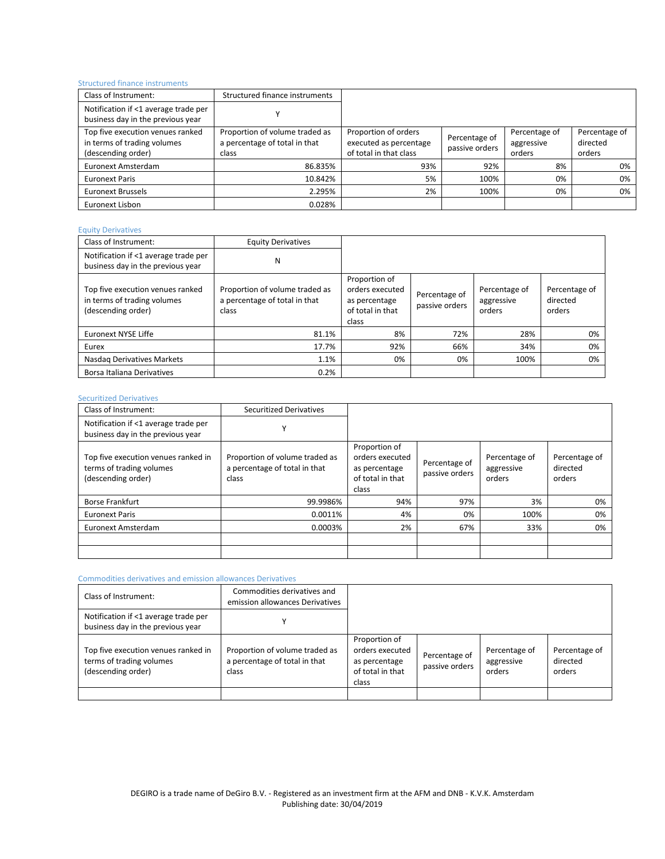# Structured finance instruments

| Class of Instrument:                                                                  | Structured finance instruments                                           |                                                                          |                                 |                                       |                                     |
|---------------------------------------------------------------------------------------|--------------------------------------------------------------------------|--------------------------------------------------------------------------|---------------------------------|---------------------------------------|-------------------------------------|
| Notification if <1 average trade per<br>business day in the previous year             |                                                                          |                                                                          |                                 |                                       |                                     |
| Top five execution venues ranked<br>in terms of trading volumes<br>(descending order) | Proportion of volume traded as<br>a percentage of total in that<br>class | Proportion of orders<br>executed as percentage<br>of total in that class | Percentage of<br>passive orders | Percentage of<br>aggressive<br>orders | Percentage of<br>directed<br>orders |
| Euronext Amsterdam                                                                    | 86.835%                                                                  | 93%                                                                      | 92%                             | 8%                                    | 0%                                  |
| <b>Euronext Paris</b>                                                                 | 10.842%                                                                  | 5%                                                                       | 100%                            | 0%                                    | 0%                                  |
| <b>Euronext Brussels</b>                                                              | 2.295%                                                                   | 2%                                                                       | 100%                            | 0%                                    | 0%                                  |
| Euronext Lisbon                                                                       | 0.028%                                                                   |                                                                          |                                 |                                       |                                     |

## Equity Derivatives

| Class of Instrument:                                                                  | <b>Equity Derivatives</b>                                                |                                                                                |                                 |                                       |                                     |
|---------------------------------------------------------------------------------------|--------------------------------------------------------------------------|--------------------------------------------------------------------------------|---------------------------------|---------------------------------------|-------------------------------------|
| Notification if <1 average trade per<br>business day in the previous year             | Ν                                                                        |                                                                                |                                 |                                       |                                     |
| Top five execution venues ranked<br>in terms of trading volumes<br>(descending order) | Proportion of volume traded as<br>a percentage of total in that<br>class | Proportion of<br>orders executed<br>as percentage<br>of total in that<br>class | Percentage of<br>passive orders | Percentage of<br>aggressive<br>orders | Percentage of<br>directed<br>orders |
| <b>Euronext NYSE Liffe</b>                                                            | 81.1%                                                                    | 8%                                                                             | 72%                             | 28%                                   | 0%                                  |
| Eurex                                                                                 | 17.7%                                                                    | 92%                                                                            | 66%                             | 34%                                   | 0%                                  |
| Nasdag Derivatives Markets                                                            | 1.1%                                                                     | 0%                                                                             | 0%                              | 100%                                  | 0%                                  |
| Borsa Italiana Derivatives                                                            | 0.2%                                                                     |                                                                                |                                 |                                       |                                     |

#### Securitized Derivatives

| Class of Instrument:                                                                  | <b>Securitized Derivatives</b>                                           |                                                                                |                                 |                                       |                                     |
|---------------------------------------------------------------------------------------|--------------------------------------------------------------------------|--------------------------------------------------------------------------------|---------------------------------|---------------------------------------|-------------------------------------|
| Notification if <1 average trade per<br>business day in the previous year             | v                                                                        |                                                                                |                                 |                                       |                                     |
| Top five execution venues ranked in<br>terms of trading volumes<br>(descending order) | Proportion of volume traded as<br>a percentage of total in that<br>class | Proportion of<br>orders executed<br>as percentage<br>of total in that<br>class | Percentage of<br>passive orders | Percentage of<br>aggressive<br>orders | Percentage of<br>directed<br>orders |
| <b>Borse Frankfurt</b>                                                                | 99.9986%                                                                 | 94%                                                                            | 97%                             | 3%                                    | 0%                                  |
| <b>Euronext Paris</b>                                                                 | 0.0011%                                                                  | 4%                                                                             | 0%                              | 100%                                  | 0%                                  |
| Euronext Amsterdam                                                                    | 0.0003%                                                                  | 2%                                                                             | 67%                             | 33%                                   | 0%                                  |
|                                                                                       |                                                                          |                                                                                |                                 |                                       |                                     |

#### Commodities derivatives and emission allowances Derivatives

| Class of Instrument:                                                                  | Commodities derivatives and<br>emission allowances Derivatives           |                                                                                |                                 |                                       |                                     |
|---------------------------------------------------------------------------------------|--------------------------------------------------------------------------|--------------------------------------------------------------------------------|---------------------------------|---------------------------------------|-------------------------------------|
| Notification if <1 average trade per<br>business day in the previous year             |                                                                          |                                                                                |                                 |                                       |                                     |
| Top five execution venues ranked in<br>terms of trading volumes<br>(descending order) | Proportion of volume traded as<br>a percentage of total in that<br>class | Proportion of<br>orders executed<br>as percentage<br>of total in that<br>class | Percentage of<br>passive orders | Percentage of<br>aggressive<br>orders | Percentage of<br>directed<br>orders |
|                                                                                       |                                                                          |                                                                                |                                 |                                       |                                     |